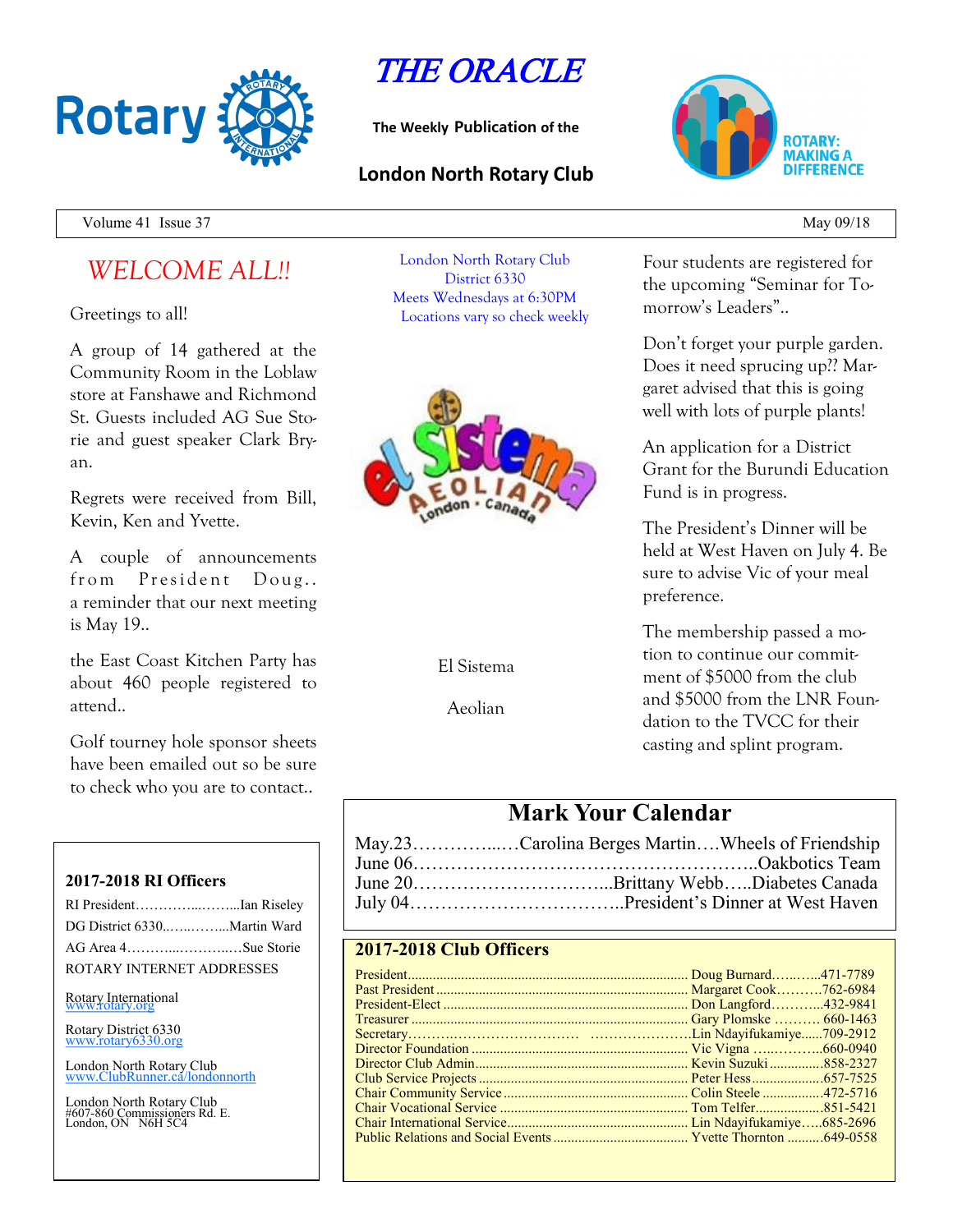

THE ORACLE

**The Weekly Publication of the**

## **London North Rotary Club**



Volume 41 Issue 37 May 09/18

# *WELCOME ALL!!*

Greetings to all!

A group of 14 gathered at the Community Room in the Loblaw store at Fanshawe and Richmond St. Guests included AG Sue Storie and guest speaker Clark Bryan.

Regrets were received from Bill, Kevin, Ken and Yvette.

A couple of announcements from President Doug.. a reminder that our next meeting is May 19..

the East Coast Kitchen Party has about 460 people registered to attend..

Golf tourney hole sponsor sheets have been emailed out so be sure to check who you are to contact..

### **2017-2018 RI Officers**

| RI PresidentIan Riseley     |  |
|-----------------------------|--|
| DG District 6330Martin Ward |  |
| AG Area 4Sue Storie         |  |
| ROTARY INTERNET ADDRESSES   |  |

Rotary International

Rotary District 6330 [www.rotary6330.org](http://www.rotary6330.org/)

London North Rotary Club lubRunner.ca/londonnorth

London North Rotary Club #607-860 Commissioners Rd. E. London, ON N6H 5C4

London North Rotary Club District 6330 Meets Wednesdays at 6:30PM Locations vary so check weekly



El Sistema

Aeolian

Four students are registered for the upcoming "Seminar for Tomorrow's Leaders"..

Don't forget your purple garden. Does it need sprucing up?? Margaret advised that this is going well with lots of purple plants!

An application for a District Grant for the Burundi Education Fund is in progress.

The President's Dinner will be held at West Haven on July 4. Be sure to advise Vic of your meal preference.

The membership passed a motion to continue our commitment of \$5000 from the club and \$5000 from the LNR Foundation to the TVCC for their casting and splint program.

## **Mark Your Calendar**

| May.23Carolina Berges MartinWheels of Friendship |
|--------------------------------------------------|
|                                                  |
|                                                  |
|                                                  |

## **2017-2018 Club Officers**